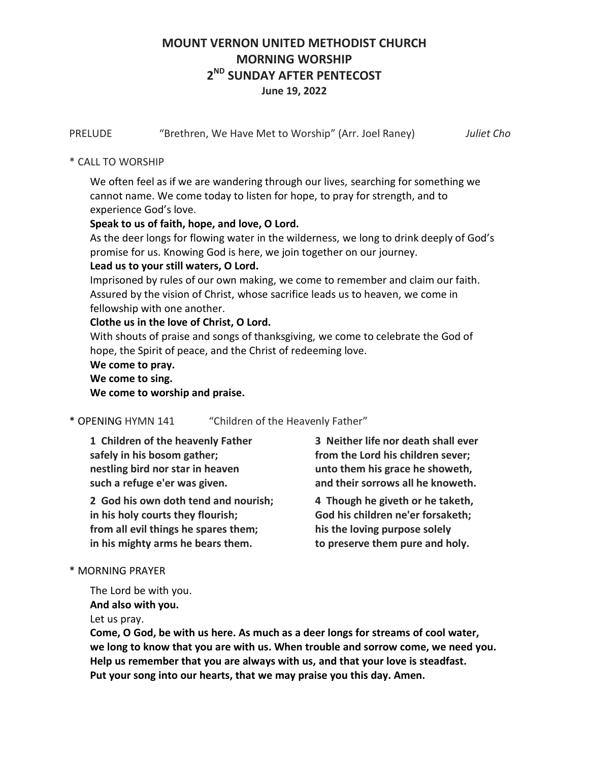# **MOUNT VERNON UNITED METHODIST CHURCH MORNING WORSHIP 2 ND SUNDAY AFTER PENTECOST June 19, 2022**

PRELUDE "Brethren, We Have Met to Worship" (Arr. Joel Raney) *Juliet Cho*

## \* CALL TO WORSHIP

We often feel as if we are wandering through our lives, searching for something we cannot name. We come today to listen for hope, to pray for strength, and to experience God's love.

## **Speak to us of faith, hope, and love, O Lord.**

As the deer longs for flowing water in the wilderness, we long to drink deeply of God's promise for us. Knowing God is here, we join together on our journey.

## **Lead us to your still waters, O Lord.**

Imprisoned by rules of our own making, we come to remember and claim our faith. Assured by the vision of Christ, whose sacrifice leads us to heaven, we come in fellowship with one another.

## **Clothe us in the love of Christ, O Lord.**

With shouts of praise and songs of thanksgiving, we come to celebrate the God of hope, the Spirit of peace, and the Christ of redeeming love.

## **We come to pray. We come to sing. We come to worship and praise.**

\* OPENING HYMN 141 "Children of the Heavenly Father"

**1 Children of the heavenly Father safely in his bosom gather; nestling bird nor star in heaven such a refuge e'er was given.**

**2 God his own doth tend and nourish; in his holy courts they flourish; from all evil things he spares them; in his mighty arms he bears them.**

**3 Neither life nor death shall ever from the Lord his children sever; unto them his grace he showeth, and their sorrows all he knoweth.**

**4 Though he giveth or he taketh, God his children ne'er forsaketh; his the loving purpose solely to preserve them pure and holy.**

## \* MORNING PRAYER

The Lord be with you.

**And also with you.**

Let us pray.

**Come, O God, be with us here. As much as a deer longs for streams of cool water, we long to know that you are with us. When trouble and sorrow come, we need you. Help us remember that you are always with us, and that your love is steadfast. Put your song into our hearts, that we may praise you this day. Amen.**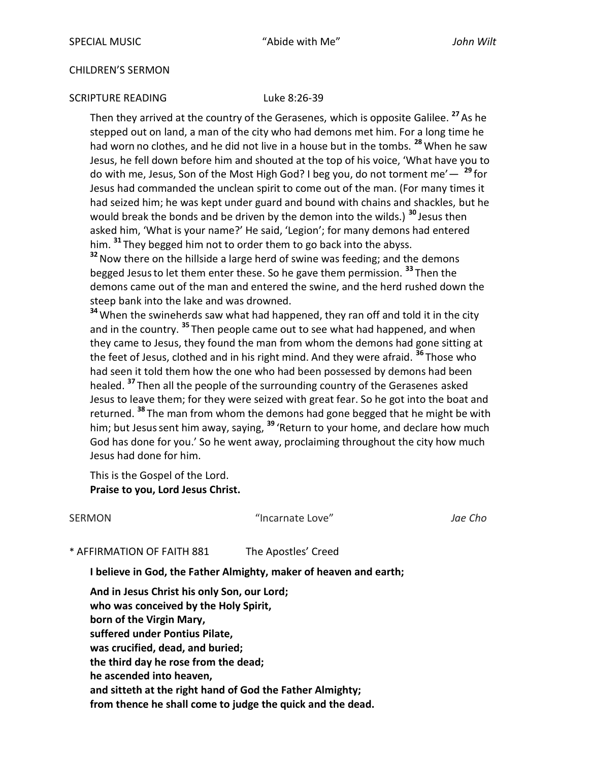### CHILDREN'S SERMON

### SCRIPTURE READING Luke 8:26-39

Then they arrived at the country of the Gerasenes, which is opposite Galilee. **<sup>27</sup>** As he stepped out on land, a man of the city who had demons met him. For a long time he had worn no clothes, and he did not live in a house but in the tombs. <sup>28</sup> When he saw Jesus, he fell down before him and shouted at the top of his voice, 'What have you to do with me, Jesus, Son of the Most High God? I beg you, do not torment me'— **<sup>29</sup>** for Jesus had commanded the unclean spirit to come out of the man. (For many times it had seized him; he was kept under guard and bound with chains and shackles, but he would break the bonds and be driven by the demon into the wilds.) **<sup>30</sup>** Jesus then asked him, 'What is your name?' He said, 'Legion'; for many demons had entered him. **<sup>31</sup>** They begged him not to order them to go back into the abyss.

**<sup>32</sup>**Now there on the hillside a large herd of swine was feeding; and the demons begged Jesusto let them enter these. So he gave them permission. **<sup>33</sup>** Then the demons came out of the man and entered the swine, and the herd rushed down the steep bank into the lake and was drowned.

**<sup>34</sup>**When the swineherds saw what had happened, they ran off and told it in the city and in the country. **<sup>35</sup>** Then people came out to see what had happened, and when they came to Jesus, they found the man from whom the demons had gone sitting at the feet of Jesus, clothed and in his right mind. And they were afraid. **<sup>36</sup>** Those who had seen it told them how the one who had been possessed by demons had been healed. **<sup>37</sup>** Then all the people of the surrounding country of the Gerasenes asked Jesus to leave them; for they were seized with great fear. So he got into the boat and returned. **<sup>38</sup>** The man from whom the demons had gone begged that he might be with him; but Jesussent him away, saying, **<sup>39</sup>** 'Return to your home, and declare how much God has done for you.' So he went away, proclaiming throughout the city how much Jesus had done for him.

This is the Gospel of the Lord. **Praise to you, Lord Jesus Christ.** 

SERMON "Incarnate Love" *Jae Cho*

\* AFFIRMATION OF FAITH 881 The Apostles' Creed

**I believe in God, the Father Almighty, maker of heaven and earth;**

**And in Jesus Christ his only Son, our Lord; who was conceived by the Holy Spirit, born of the Virgin Mary, suffered under Pontius Pilate, was crucified, dead, and buried; the third day he rose from the dead; he ascended into heaven, and sitteth at the right hand of God the Father Almighty; from thence he shall come to judge the quick and the dead.**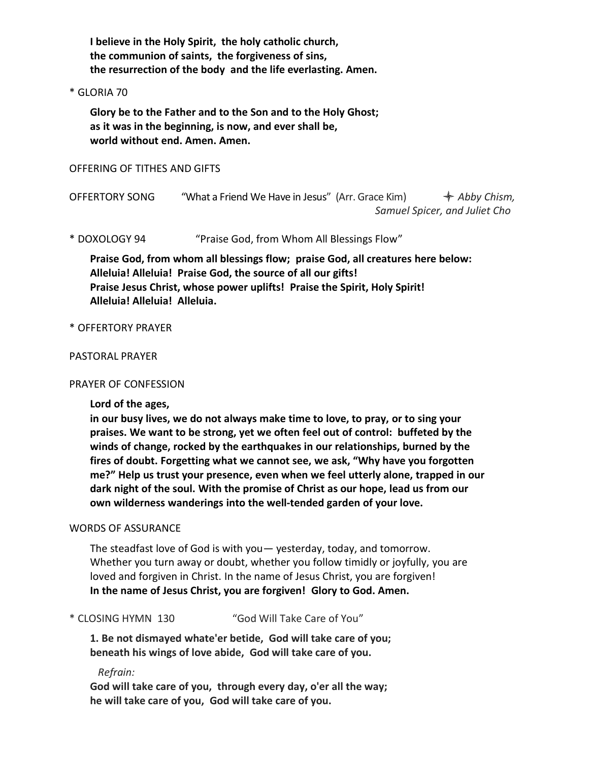**I believe in the Holy Spirit, the holy catholic church, the communion of saints, the forgiveness of sins, the resurrection of the body and the life everlasting. Amen.**

### \* GLORIA 70

**Glory be to the Father and to the Son and to the Holy Ghost; as it was in the beginning, is now, and ever shall be, world without end. Amen. Amen.**

### OFFERING OF TITHES AND GIFTS

OFFERTORY SONG "What a Friend We Have in Jesus" (Arr. Grace Kim)  $\leftrightarrow$  Abby Chism,  *Samuel Spicer, and Juliet Cho*

\* DOXOLOGY 94 "Praise God, from Whom All Blessings Flow"

**Praise God, from whom all blessings flow; praise God, all creatures here below: Alleluia! Alleluia! Praise God, the source of all our gifts! Praise Jesus Christ, whose power uplifts! Praise the Spirit, Holy Spirit! Alleluia! Alleluia! Alleluia.**

### \* OFFERTORY PRAYER

### PASTORAL PRAYER

### PRAYER OF CONFESSION

**Lord of the ages,**

**in our busy lives, we do not always make time to love, to pray, or to sing your praises. We want to be strong, yet we often feel out of control: buffeted by the winds of change, rocked by the earthquakes in our relationships, burned by the fires of doubt. Forgetting what we cannot see, we ask, "Why have you forgotten me?" Help us trust your presence, even when we feel utterly alone, trapped in our dark night of the soul. With the promise of Christ as our hope, lead us from our own wilderness wanderings into the well-tended garden of your love.**

### WORDS OF ASSURANCE

The steadfast love of God is with you— yesterday, today, and tomorrow. Whether you turn away or doubt, whether you follow timidly or joyfully, you are loved and forgiven in Christ. In the name of Jesus Christ, you are forgiven! **In the name of Jesus Christ, you are forgiven! Glory to God. Amen.**

\* CLOSING HYMN 130 "God Will Take Care of You"

**1. Be not dismayed whate'er betide, God will take care of you; beneath his wings of love abide, God will take care of you.**

 *Refrain:*

**God will take care of you, through every day, o'er all the way; he will take care of you, God will take care of you.**